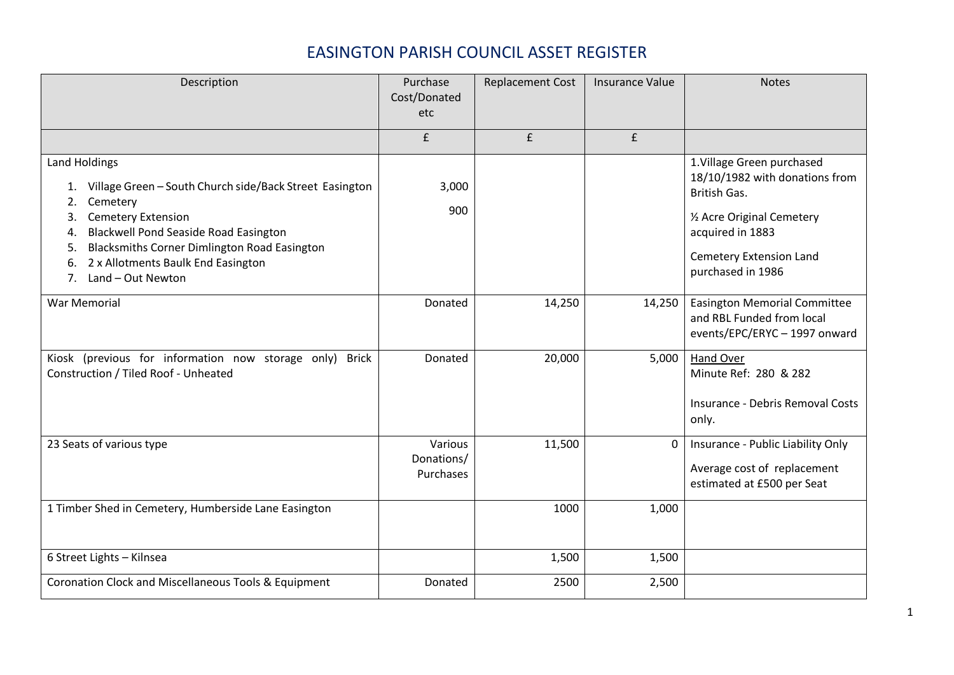## EASINGTON PARISH COUNCIL ASSET REGISTER

| Description                                                                                                                                                                                                                                                                                                                 | Purchase<br>Cost/Donated<br>etc    | <b>Replacement Cost</b> | <b>Insurance Value</b> | <b>Notes</b>                                                                                                                                                                   |
|-----------------------------------------------------------------------------------------------------------------------------------------------------------------------------------------------------------------------------------------------------------------------------------------------------------------------------|------------------------------------|-------------------------|------------------------|--------------------------------------------------------------------------------------------------------------------------------------------------------------------------------|
|                                                                                                                                                                                                                                                                                                                             | £                                  | f                       | f                      |                                                                                                                                                                                |
| <b>Land Holdings</b><br>Village Green - South Church side/Back Street Easington<br>Cemetery<br>2.<br><b>Cemetery Extension</b><br>3.<br><b>Blackwell Pond Seaside Road Easington</b><br>4.<br><b>Blacksmiths Corner Dimlington Road Easington</b><br>5.<br>2 x Allotments Baulk End Easington<br>6.<br>7. Land - Out Newton | 3,000<br>900                       |                         |                        | 1. Village Green purchased<br>18/10/1982 with donations from<br>British Gas.<br>1/2 Acre Original Cemetery<br>acquired in 1883<br>Cemetery Extension Land<br>purchased in 1986 |
| <b>War Memorial</b>                                                                                                                                                                                                                                                                                                         | Donated                            | 14,250                  | 14,250                 | <b>Easington Memorial Committee</b><br>and RBL Funded from local<br>events/EPC/ERYC - 1997 onward                                                                              |
| Kiosk (previous for information now storage only) Brick<br>Construction / Tiled Roof - Unheated                                                                                                                                                                                                                             | Donated                            | 20,000                  | 5,000                  | Hand Over<br>Minute Ref: 280 & 282<br>Insurance - Debris Removal Costs<br>only.                                                                                                |
| 23 Seats of various type                                                                                                                                                                                                                                                                                                    | Various<br>Donations/<br>Purchases | 11,500                  | 0                      | Insurance - Public Liability Only<br>Average cost of replacement<br>estimated at £500 per Seat                                                                                 |
| 1 Timber Shed in Cemetery, Humberside Lane Easington                                                                                                                                                                                                                                                                        |                                    | 1000                    | 1,000                  |                                                                                                                                                                                |
| 6 Street Lights - Kilnsea                                                                                                                                                                                                                                                                                                   |                                    | 1,500                   | 1,500                  |                                                                                                                                                                                |
| Coronation Clock and Miscellaneous Tools & Equipment                                                                                                                                                                                                                                                                        | Donated                            | 2500                    | 2,500                  |                                                                                                                                                                                |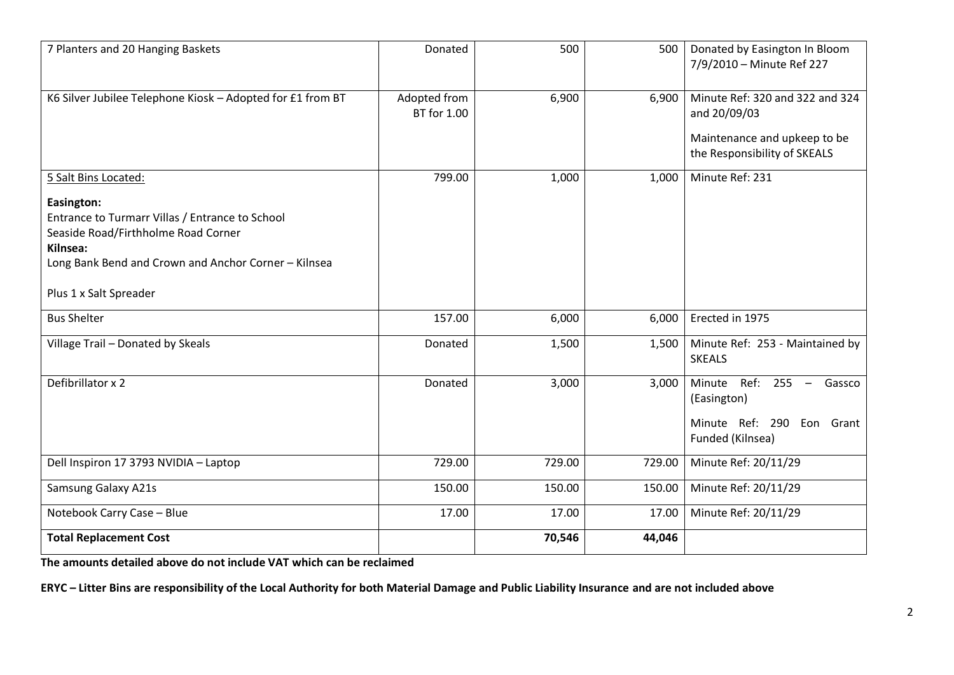| 7 Planters and 20 Hanging Baskets                                                                                                                                                                                          | Donated                     | 500    | 500    | Donated by Easington In Bloom<br>7/9/2010 - Minute Ref 227                                                               |
|----------------------------------------------------------------------------------------------------------------------------------------------------------------------------------------------------------------------------|-----------------------------|--------|--------|--------------------------------------------------------------------------------------------------------------------------|
| K6 Silver Jubilee Telephone Kiosk - Adopted for £1 from BT                                                                                                                                                                 | Adopted from<br>BT for 1.00 | 6,900  | 6,900  | Minute Ref: 320 and 322 and 324<br>and 20/09/03<br>Maintenance and upkeep to be<br>the Responsibility of SKEALS          |
| 5 Salt Bins Located:<br>Easington:<br>Entrance to Turmarr Villas / Entrance to School<br>Seaside Road/Firthholme Road Corner<br>Kilnsea:<br>Long Bank Bend and Crown and Anchor Corner - Kilnsea<br>Plus 1 x Salt Spreader | 799.00                      | 1,000  | 1,000  | Minute Ref: 231                                                                                                          |
| <b>Bus Shelter</b>                                                                                                                                                                                                         | 157.00                      | 6,000  | 6,000  | Erected in 1975                                                                                                          |
| Village Trail - Donated by Skeals                                                                                                                                                                                          | Donated                     | 1,500  | 1,500  | Minute Ref: 253 - Maintained by<br><b>SKEALS</b>                                                                         |
| Defibrillator x 2                                                                                                                                                                                                          | Donated                     | 3,000  | 3,000  | Minute<br>Ref: 255<br>$\overline{\phantom{m}}$<br>Gassco<br>(Easington)<br>Minute Ref: 290 Eon Grant<br>Funded (Kilnsea) |
| Dell Inspiron 17 3793 NVIDIA - Laptop                                                                                                                                                                                      | 729.00                      | 729.00 | 729.00 | Minute Ref: 20/11/29                                                                                                     |
| Samsung Galaxy A21s                                                                                                                                                                                                        | 150.00                      | 150.00 | 150.00 | Minute Ref: 20/11/29                                                                                                     |
| Notebook Carry Case - Blue                                                                                                                                                                                                 | 17.00                       | 17.00  | 17.00  | Minute Ref: 20/11/29                                                                                                     |
| <b>Total Replacement Cost</b>                                                                                                                                                                                              |                             | 70,546 | 44,046 |                                                                                                                          |

**The amounts detailed above do not include VAT which can be reclaimed**

**ERYC – Litter Bins are responsibility of the Local Authority for both Material Damage and Public Liability Insurance and are not included above**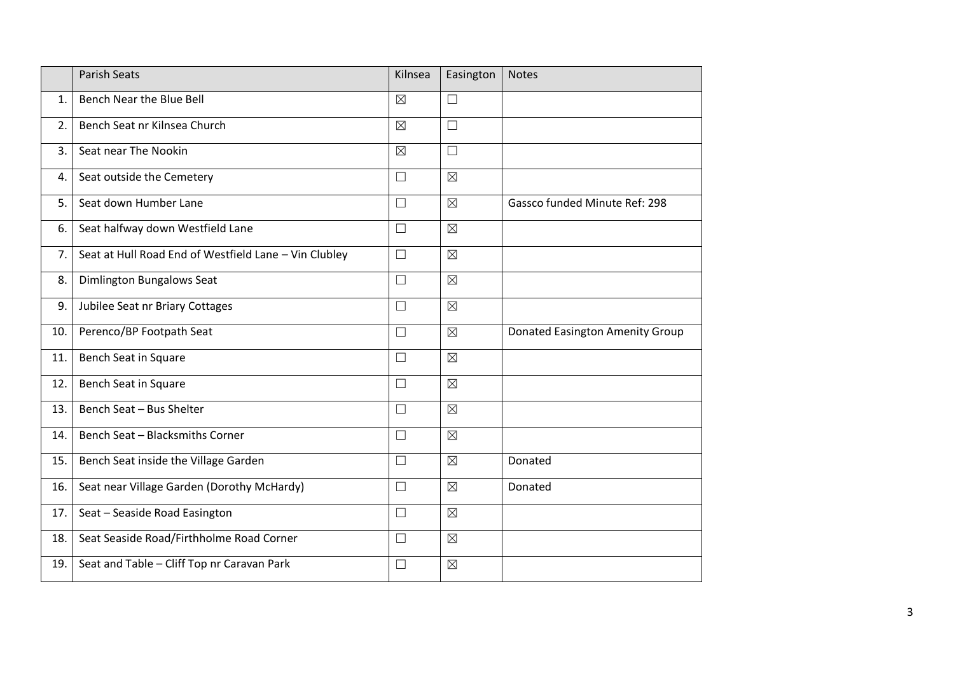|     | <b>Parish Seats</b>                                   | Kilnsea     | Easington   | <b>Notes</b>                    |
|-----|-------------------------------------------------------|-------------|-------------|---------------------------------|
| 1.  | Bench Near the Blue Bell                              | $\boxtimes$ | $\Box$      |                                 |
| 2.  | Bench Seat nr Kilnsea Church                          | $\boxtimes$ | $\Box$      |                                 |
| 3.  | Seat near The Nookin                                  | $\boxtimes$ | $\Box$      |                                 |
| 4.  | Seat outside the Cemetery                             | $\Box$      | $\boxtimes$ |                                 |
| 5.  | Seat down Humber Lane                                 | $\Box$      | $\boxtimes$ | Gassco funded Minute Ref: 298   |
| 6.  | Seat halfway down Westfield Lane                      | $\Box$      | $\boxtimes$ |                                 |
| 7.  | Seat at Hull Road End of Westfield Lane - Vin Clubley | $\Box$      | $\boxtimes$ |                                 |
| 8.  | Dimlington Bungalows Seat                             | $\Box$      | $\boxtimes$ |                                 |
| 9.  | Jubilee Seat nr Briary Cottages                       | $\Box$      | $\boxtimes$ |                                 |
| 10. | Perenco/BP Footpath Seat                              | $\Box$      | $\boxtimes$ | Donated Easington Amenity Group |
| 11. | Bench Seat in Square                                  | $\Box$      | $\boxtimes$ |                                 |
| 12. | Bench Seat in Square                                  | $\Box$      | $\boxtimes$ |                                 |
| 13. | Bench Seat - Bus Shelter                              | $\Box$      | $\boxtimes$ |                                 |
| 14. | Bench Seat - Blacksmiths Corner                       | $\Box$      | $\boxtimes$ |                                 |
| 15. | Bench Seat inside the Village Garden                  | $\Box$      | $\boxtimes$ | Donated                         |
| 16. | Seat near Village Garden (Dorothy McHardy)            | $\Box$      | $\boxtimes$ | Donated                         |
| 17. | Seat - Seaside Road Easington                         | $\Box$      | $\boxtimes$ |                                 |
| 18. | Seat Seaside Road/Firthholme Road Corner              | $\Box$      | $\boxtimes$ |                                 |
| 19. | Seat and Table - Cliff Top nr Caravan Park            | $\Box$      | $\boxtimes$ |                                 |